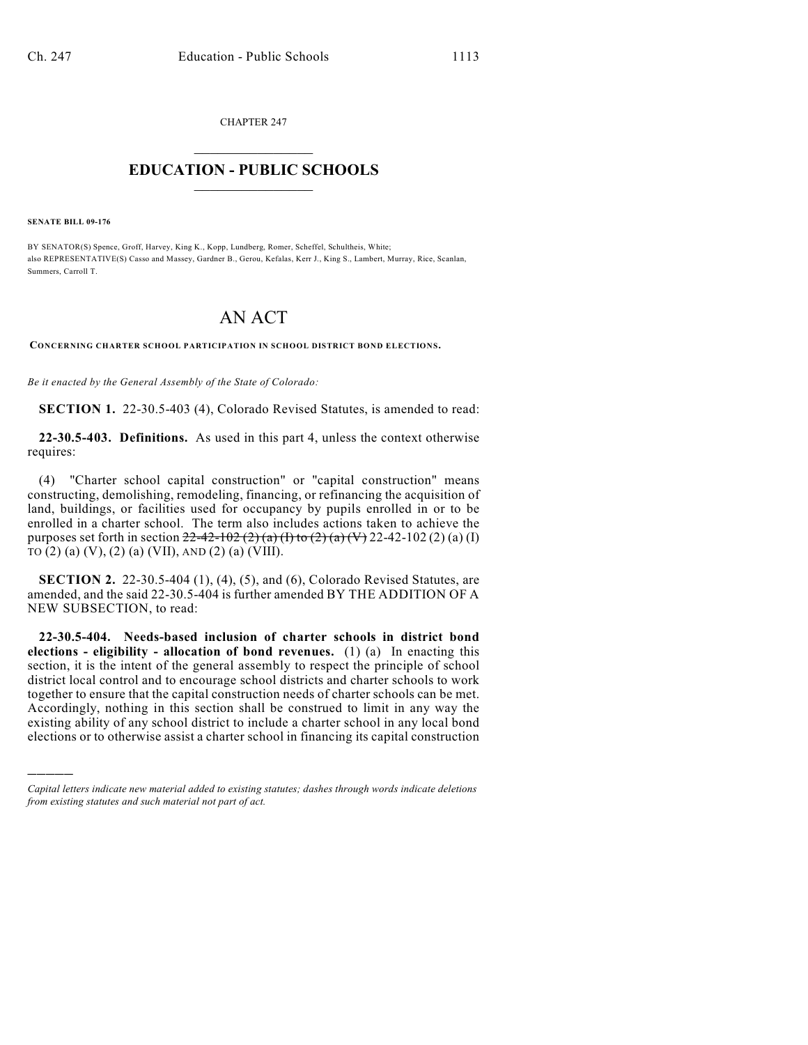CHAPTER 247

## $\mathcal{L}_\text{max}$  . The set of the set of the set of the set of the set of the set of the set of the set of the set of the set of the set of the set of the set of the set of the set of the set of the set of the set of the set **EDUCATION - PUBLIC SCHOOLS**  $\_$   $\_$   $\_$   $\_$   $\_$   $\_$   $\_$   $\_$   $\_$

**SENATE BILL 09-176**

)))))

BY SENATOR(S) Spence, Groff, Harvey, King K., Kopp, Lundberg, Romer, Scheffel, Schultheis, White; also REPRESENTATIVE(S) Casso and Massey, Gardner B., Gerou, Kefalas, Kerr J., King S., Lambert, Murray, Rice, Scanlan, Summers, Carroll T.

## AN ACT

**CONCERNING CHARTER SCHOOL PARTICIPATION IN SCHOOL DISTRICT BOND ELECTIONS.**

*Be it enacted by the General Assembly of the State of Colorado:*

**SECTION 1.** 22-30.5-403 (4), Colorado Revised Statutes, is amended to read:

**22-30.5-403. Definitions.** As used in this part 4, unless the context otherwise requires:

(4) "Charter school capital construction" or "capital construction" means constructing, demolishing, remodeling, financing, or refinancing the acquisition of land, buildings, or facilities used for occupancy by pupils enrolled in or to be enrolled in a charter school. The term also includes actions taken to achieve the purposes set forth in section  $22-42-102$  (2) (a) (I) to (2) (a) (V) 22-42-102 (2) (a) (I) TO  $(2)$  (a)  $(V)$ ,  $(2)$  (a)  $(VII)$ , AND  $(2)$  (a)  $(VIII)$ .

**SECTION 2.** 22-30.5-404 (1), (4), (5), and (6), Colorado Revised Statutes, are amended, and the said 22-30.5-404 is further amended BY THE ADDITION OF A NEW SUBSECTION, to read:

**22-30.5-404. Needs-based inclusion of charter schools in district bond elections - eligibility - allocation of bond revenues.** (1) (a) In enacting this section, it is the intent of the general assembly to respect the principle of school district local control and to encourage school districts and charter schools to work together to ensure that the capital construction needs of charter schools can be met. Accordingly, nothing in this section shall be construed to limit in any way the existing ability of any school district to include a charter school in any local bond elections or to otherwise assist a charter school in financing its capital construction

*Capital letters indicate new material added to existing statutes; dashes through words indicate deletions from existing statutes and such material not part of act.*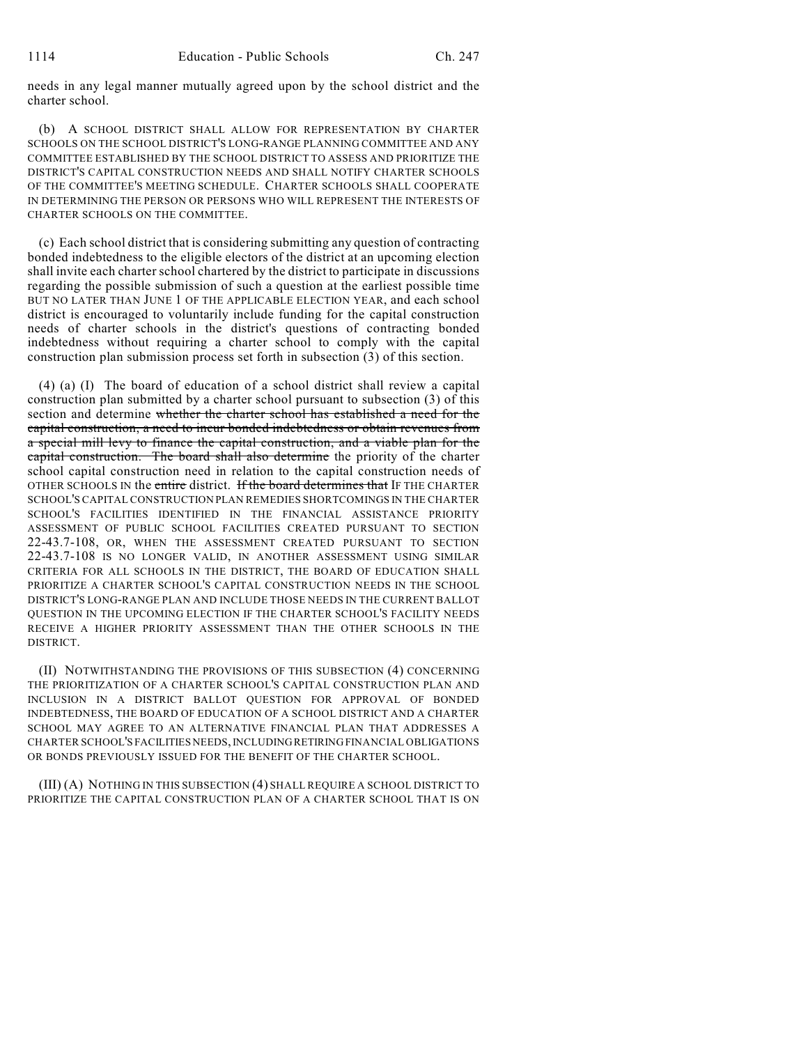needs in any legal manner mutually agreed upon by the school district and the charter school.

(b) A SCHOOL DISTRICT SHALL ALLOW FOR REPRESENTATION BY CHARTER SCHOOLS ON THE SCHOOL DISTRICT'S LONG-RANGE PLANNING COMMITTEE AND ANY COMMITTEE ESTABLISHED BY THE SCHOOL DISTRICT TO ASSESS AND PRIORITIZE THE DISTRICT'S CAPITAL CONSTRUCTION NEEDS AND SHALL NOTIFY CHARTER SCHOOLS OF THE COMMITTEE'S MEETING SCHEDULE. CHARTER SCHOOLS SHALL COOPERATE IN DETERMINING THE PERSON OR PERSONS WHO WILL REPRESENT THE INTERESTS OF CHARTER SCHOOLS ON THE COMMITTEE.

(c) Each school district that is considering submitting any question of contracting bonded indebtedness to the eligible electors of the district at an upcoming election shall invite each charter school chartered by the district to participate in discussions regarding the possible submission of such a question at the earliest possible time BUT NO LATER THAN JUNE 1 OF THE APPLICABLE ELECTION YEAR, and each school district is encouraged to voluntarily include funding for the capital construction needs of charter schools in the district's questions of contracting bonded indebtedness without requiring a charter school to comply with the capital construction plan submission process set forth in subsection (3) of this section.

(4) (a) (I) The board of education of a school district shall review a capital construction plan submitted by a charter school pursuant to subsection (3) of this section and determine whether the charter school has established a need for the capital construction, a need to incur bonded indebtedness or obtain revenues from a special mill levy to finance the capital construction, and a viable plan for the capital construction. The board shall also determine the priority of the charter school capital construction need in relation to the capital construction needs of OTHER SCHOOLS IN the entire district. If the board determines that IF THE CHARTER SCHOOL'S CAPITAL CONSTRUCTION PLAN REMEDIES SHORTCOMINGS IN THE CHARTER SCHOOL'S FACILITIES IDENTIFIED IN THE FINANCIAL ASSISTANCE PRIORITY ASSESSMENT OF PUBLIC SCHOOL FACILITIES CREATED PURSUANT TO SECTION 22-43.7-108, OR, WHEN THE ASSESSMENT CREATED PURSUANT TO SECTION 22-43.7-108 IS NO LONGER VALID, IN ANOTHER ASSESSMENT USING SIMILAR CRITERIA FOR ALL SCHOOLS IN THE DISTRICT, THE BOARD OF EDUCATION SHALL PRIORITIZE A CHARTER SCHOOL'S CAPITAL CONSTRUCTION NEEDS IN THE SCHOOL DISTRICT'S LONG-RANGE PLAN AND INCLUDE THOSE NEEDS IN THE CURRENT BALLOT QUESTION IN THE UPCOMING ELECTION IF THE CHARTER SCHOOL'S FACILITY NEEDS RECEIVE A HIGHER PRIORITY ASSESSMENT THAN THE OTHER SCHOOLS IN THE DISTRICT.

(II) NOTWITHSTANDING THE PROVISIONS OF THIS SUBSECTION (4) CONCERNING THE PRIORITIZATION OF A CHARTER SCHOOL'S CAPITAL CONSTRUCTION PLAN AND INCLUSION IN A DISTRICT BALLOT QUESTION FOR APPROVAL OF BONDED INDEBTEDNESS, THE BOARD OF EDUCATION OF A SCHOOL DISTRICT AND A CHARTER SCHOOL MAY AGREE TO AN ALTERNATIVE FINANCIAL PLAN THAT ADDRESSES A CHARTER SCHOOL'S FACILITIES NEEDS, INCLUDING RETIRING FINANCIAL OBLIGATIONS OR BONDS PREVIOUSLY ISSUED FOR THE BENEFIT OF THE CHARTER SCHOOL.

(III) (A) NOTHING IN THIS SUBSECTION (4) SHALL REQUIRE A SCHOOL DISTRICT TO PRIORITIZE THE CAPITAL CONSTRUCTION PLAN OF A CHARTER SCHOOL THAT IS ON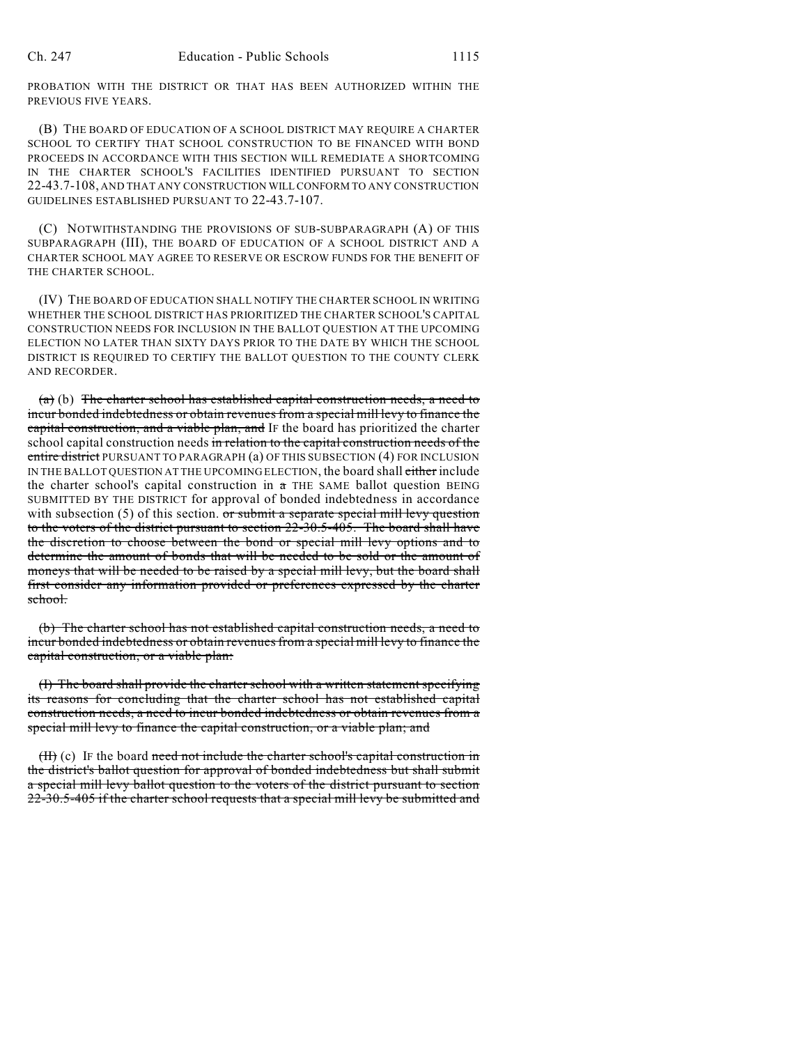PROBATION WITH THE DISTRICT OR THAT HAS BEEN AUTHORIZED WITHIN THE PREVIOUS FIVE YEARS.

(B) THE BOARD OF EDUCATION OF A SCHOOL DISTRICT MAY REQUIRE A CHARTER SCHOOL TO CERTIFY THAT SCHOOL CONSTRUCTION TO BE FINANCED WITH BOND PROCEEDS IN ACCORDANCE WITH THIS SECTION WILL REMEDIATE A SHORTCOMING IN THE CHARTER SCHOOL'S FACILITIES IDENTIFIED PURSUANT TO SECTION 22-43.7-108, AND THAT ANY CONSTRUCTION WILL CONFORM TO ANY CONSTRUCTION GUIDELINES ESTABLISHED PURSUANT TO 22-43.7-107.

(C) NOTWITHSTANDING THE PROVISIONS OF SUB-SUBPARAGRAPH (A) OF THIS SUBPARAGRAPH (III), THE BOARD OF EDUCATION OF A SCHOOL DISTRICT AND A CHARTER SCHOOL MAY AGREE TO RESERVE OR ESCROW FUNDS FOR THE BENEFIT OF THE CHARTER SCHOOL.

(IV) THE BOARD OF EDUCATION SHALL NOTIFY THE CHARTER SCHOOL IN WRITING WHETHER THE SCHOOL DISTRICT HAS PRIORITIZED THE CHARTER SCHOOL'S CAPITAL CONSTRUCTION NEEDS FOR INCLUSION IN THE BALLOT QUESTION AT THE UPCOMING ELECTION NO LATER THAN SIXTY DAYS PRIOR TO THE DATE BY WHICH THE SCHOOL DISTRICT IS REQUIRED TO CERTIFY THE BALLOT QUESTION TO THE COUNTY CLERK AND RECORDER.

(a) (b) The charter school has established capital construction needs, a need to incur bonded indebtedness or obtain revenues from a special mill levy to finance the capital construction, and a viable plan, and IF the board has prioritized the charter school capital construction needs in relation to the capital construction needs of the entire district PURSUANT TO PARAGRAPH (a) OF THIS SUBSECTION (4) FOR INCLUSION IN THE BALLOT QUESTION AT THE UPCOMING ELECTION, the board shall either include the charter school's capital construction in  $a$  THE SAME ballot question BEING SUBMITTED BY THE DISTRICT for approval of bonded indebtedness in accordance with subsection  $(5)$  of this section. or submit a separate special mill levy question to the voters of the district pursuant to section 22-30.5-405. The board shall have the discretion to choose between the bond or special mill levy options and to determine the amount of bonds that will be needed to be sold or the amount of moneys that will be needed to be raised by a special mill levy, but the board shall first consider any information provided or preferences expressed by the charter school.

(b) The charter school has not established capital construction needs, a need to incur bonded indebtedness or obtain revenues from a special mill levy to finance the capital construction, or a viable plan:

(I) The board shall provide the charter school with a written statement specifying its reasons for concluding that the charter school has not established capital construction needs, a need to incur bonded indebtedness or obtain revenues from a special mill levy to finance the capital construction, or a viable plan; and

(H) (c) IF the board need not include the charter school's capital construction in the district's ballot question for approval of bonded indebtedness but shall submit a special mill levy ballot question to the voters of the district pursuant to section 22-30.5-405 if the charter school requests that a special mill levy be submitted and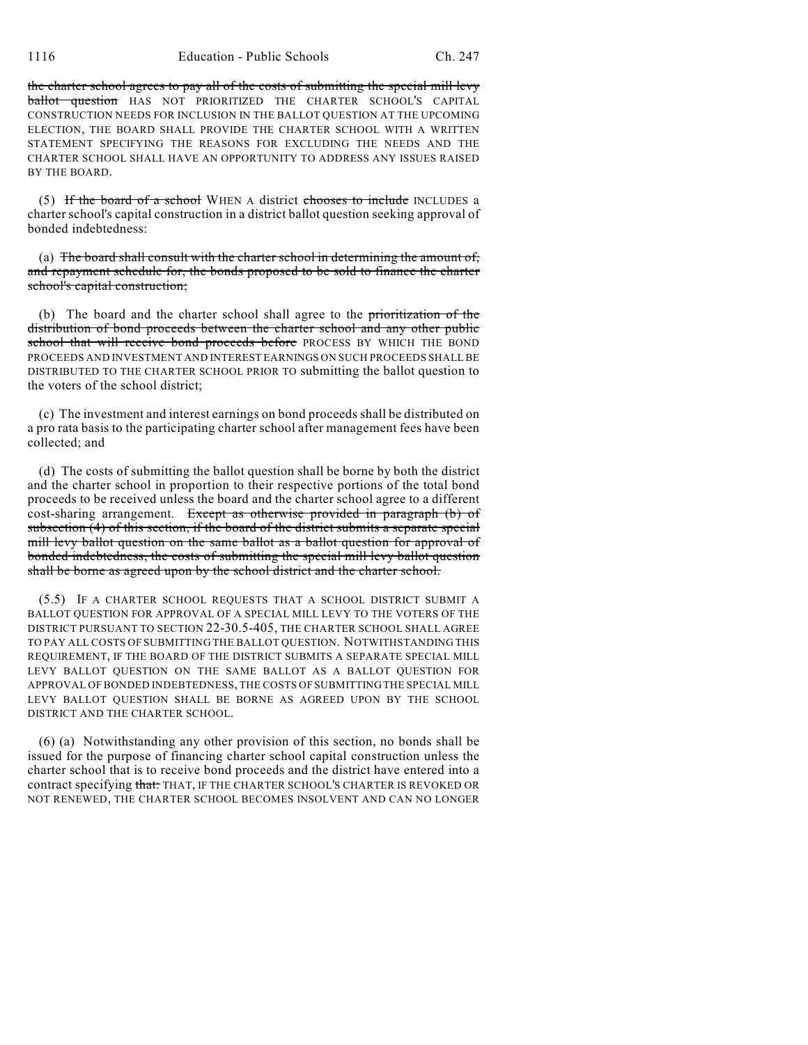the charter school agrees to pay all of the costs of submitting the special mill levy ballot question HAS NOT PRIORITIZED THE CHARTER SCHOOL'S CAPITAL CONSTRUCTION NEEDS FOR INCLUSION IN THE BALLOT QUESTION AT THE UPCOMING ELECTION, THE BOARD SHALL PROVIDE THE CHARTER SCHOOL WITH A WRITTEN STATEMENT SPECIFYING THE REASONS FOR EXCLUDING THE NEEDS AND THE CHARTER SCHOOL SHALL HAVE AN OPPORTUNITY TO ADDRESS ANY ISSUES RAISED BY THE BOARD.

(5) If the board of a school WHEN A district chooses to include INCLUDES a charter school's capital construction in a district ballot question seeking approval of bonded indebtedness:

(a) The board shall consult with the charter school in determining the amount of, and repayment schedule for, the bonds proposed to be sold to finance the charter school's capital construction;

(b) The board and the charter school shall agree to the prioritization of the distribution of bond proceeds between the charter school and any other public school that will receive bond proceeds before PROCESS BY WHICH THE BOND PROCEEDS AND INVESTMENT AND INTEREST EARNINGS ON SUCH PROCEEDS SHALL BE DISTRIBUTED TO THE CHARTER SCHOOL PRIOR TO submitting the ballot question to the voters of the school district;

(c) The investment and interest earnings on bond proceeds shall be distributed on a pro rata basis to the participating charter school after management fees have been collected; and

(d) The costs of submitting the ballot question shall be borne by both the district and the charter school in proportion to their respective portions of the total bond proceeds to be received unless the board and the charter school agree to a different cost-sharing arrangement. Except as otherwise provided in paragraph (b) of subsection  $(4)$  of this section, if the board of the district submits a separate special mill levy ballot question on the same ballot as a ballot question for approval of bonded indebtedness, the costs of submitting the special mill levy ballot question shall be borne as agreed upon by the school district and the charter school.

(5.5) IF A CHARTER SCHOOL REQUESTS THAT A SCHOOL DISTRICT SUBMIT A BALLOT QUESTION FOR APPROVAL OF A SPECIAL MILL LEVY TO THE VOTERS OF THE DISTRICT PURSUANT TO SECTION 22-30.5-405, THE CHARTER SCHOOL SHALL AGREE TO PAY ALL COSTS OF SUBMITTING THE BALLOT QUESTION. NOTWITHSTANDING THIS REQUIREMENT, IF THE BOARD OF THE DISTRICT SUBMITS A SEPARATE SPECIAL MILL LEVY BALLOT QUESTION ON THE SAME BALLOT AS A BALLOT QUESTION FOR APPROVAL OF BONDED INDEBTEDNESS, THE COSTS OF SUBMITTING THE SPECIAL MILL LEVY BALLOT QUESTION SHALL BE BORNE AS AGREED UPON BY THE SCHOOL DISTRICT AND THE CHARTER SCHOOL.

(6) (a) Notwithstanding any other provision of this section, no bonds shall be issued for the purpose of financing charter school capital construction unless the charter school that is to receive bond proceeds and the district have entered into a contract specifying that: THAT, IF THE CHARTER SCHOOL'S CHARTER IS REVOKED OR NOT RENEWED, THE CHARTER SCHOOL BECOMES INSOLVENT AND CAN NO LONGER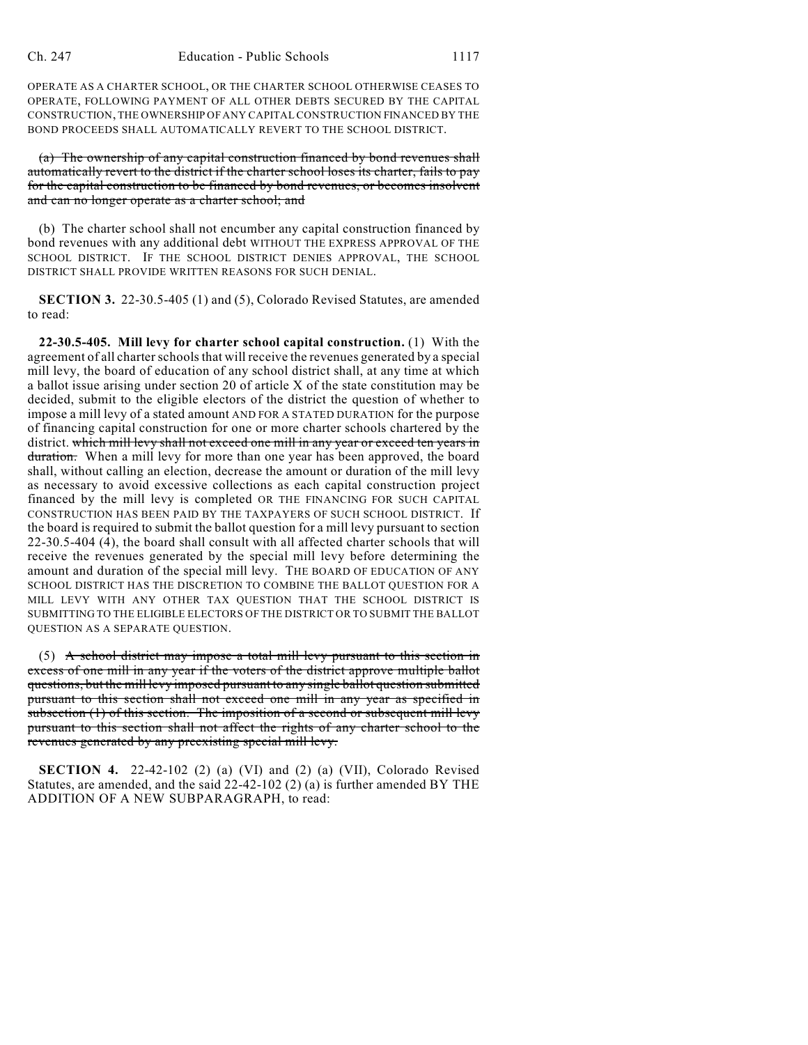OPERATE AS A CHARTER SCHOOL, OR THE CHARTER SCHOOL OTHERWISE CEASES TO OPERATE, FOLLOWING PAYMENT OF ALL OTHER DEBTS SECURED BY THE CAPITAL CONSTRUCTION, THE OWNERSHIP OF ANY CAPITAL CONSTRUCTION FINANCED BY THE BOND PROCEEDS SHALL AUTOMATICALLY REVERT TO THE SCHOOL DISTRICT.

(a) The ownership of any capital construction financed by bond revenues shall automatically revert to the district if the charter school loses its charter, fails to pay for the capital construction to be financed by bond revenues, or becomes insolvent and can no longer operate as a charter school; and

(b) The charter school shall not encumber any capital construction financed by bond revenues with any additional debt WITHOUT THE EXPRESS APPROVAL OF THE SCHOOL DISTRICT. IF THE SCHOOL DISTRICT DENIES APPROVAL, THE SCHOOL DISTRICT SHALL PROVIDE WRITTEN REASONS FOR SUCH DENIAL.

**SECTION 3.** 22-30.5-405 (1) and (5), Colorado Revised Statutes, are amended to read:

**22-30.5-405. Mill levy for charter school capital construction.** (1) With the agreement of all charter schools that will receive the revenues generated by a special mill levy, the board of education of any school district shall, at any time at which a ballot issue arising under section 20 of article X of the state constitution may be decided, submit to the eligible electors of the district the question of whether to impose a mill levy of a stated amount AND FOR A STATED DURATION for the purpose of financing capital construction for one or more charter schools chartered by the district. which mill levy shall not exceed one mill in any year or exceed ten years in duration. When a mill levy for more than one year has been approved, the board shall, without calling an election, decrease the amount or duration of the mill levy as necessary to avoid excessive collections as each capital construction project financed by the mill levy is completed OR THE FINANCING FOR SUCH CAPITAL CONSTRUCTION HAS BEEN PAID BY THE TAXPAYERS OF SUCH SCHOOL DISTRICT. If the board is required to submit the ballot question for a mill levy pursuant to section 22-30.5-404 (4), the board shall consult with all affected charter schools that will receive the revenues generated by the special mill levy before determining the amount and duration of the special mill levy. THE BOARD OF EDUCATION OF ANY SCHOOL DISTRICT HAS THE DISCRETION TO COMBINE THE BALLOT QUESTION FOR A MILL LEVY WITH ANY OTHER TAX QUESTION THAT THE SCHOOL DISTRICT IS SUBMITTING TO THE ELIGIBLE ELECTORS OF THE DISTRICT OR TO SUBMIT THE BALLOT QUESTION AS A SEPARATE QUESTION.

(5) A school district may impose a total mill levy pursuant to this section in excess of one mill in any year if the voters of the district approve multiple ballot questions, but the mill levy imposed pursuant to any single ballot question submitted pursuant to this section shall not exceed one mill in any year as specified in subsection (1) of this section. The imposition of a second or subsequent mill levy pursuant to this section shall not affect the rights of any charter school to the revenues generated by any preexisting special mill levy.

**SECTION 4.** 22-42-102 (2) (a) (VI) and (2) (a) (VII), Colorado Revised Statutes, are amended, and the said 22-42-102 (2) (a) is further amended BY THE ADDITION OF A NEW SUBPARAGRAPH, to read: